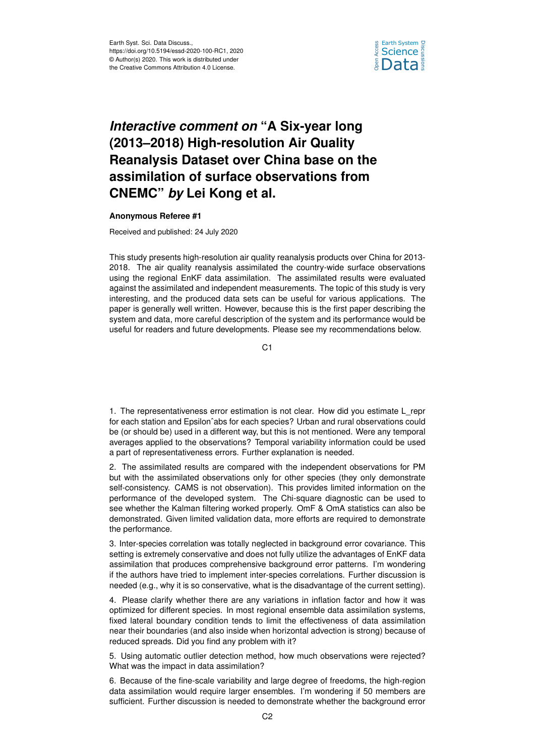

## *Interactive comment on* **"A Six-year long (2013–2018) High-resolution Air Quality Reanalysis Dataset over China base on the assimilation of surface observations from CNEMC"** *by* **Lei Kong et al.**

## **Anonymous Referee #1**

Received and published: 24 July 2020

This study presents high-resolution air quality reanalysis products over China for 2013- 2018. The air quality reanalysis assimilated the country-wide surface observations using the regional EnKF data assimilation. The assimilated results were evaluated against the assimilated and independent measurements. The topic of this study is very interesting, and the produced data sets can be useful for various applications. The paper is generally well written. However, because this is the first paper describing the system and data, more careful description of the system and its performance would be useful for readers and future developments. Please see my recommendations below.

C1

1. The representativeness error estimation is not clear. How did you estimate L\_repr for each station and Epsilonˆabs for each species? Urban and rural observations could be (or should be) used in a different way, but this is not mentioned. Were any temporal averages applied to the observations? Temporal variability information could be used a part of representativeness errors. Further explanation is needed.

2. The assimilated results are compared with the independent observations for PM but with the assimilated observations only for other species (they only demonstrate self-consistency. CAMS is not observation). This provides limited information on the performance of the developed system. The Chi-square diagnostic can be used to see whether the Kalman filtering worked properly. OmF & OmA statistics can also be demonstrated. Given limited validation data, more efforts are required to demonstrate the performance.

3. Inter-species correlation was totally neglected in background error covariance. This setting is extremely conservative and does not fully utilize the advantages of EnKF data assimilation that produces comprehensive background error patterns. I'm wondering if the authors have tried to implement inter-species correlations. Further discussion is needed (e.g., why it is so conservative, what is the disadvantage of the current setting).

4. Please clarify whether there are any variations in inflation factor and how it was optimized for different species. In most regional ensemble data assimilation systems, fixed lateral boundary condition tends to limit the effectiveness of data assimilation near their boundaries (and also inside when horizontal advection is strong) because of reduced spreads. Did you find any problem with it?

5. Using automatic outlier detection method, how much observations were rejected? What was the impact in data assimilation?

6. Because of the fine-scale variability and large degree of freedoms, the high-region data assimilation would require larger ensembles. I'm wondering if 50 members are sufficient. Further discussion is needed to demonstrate whether the background error